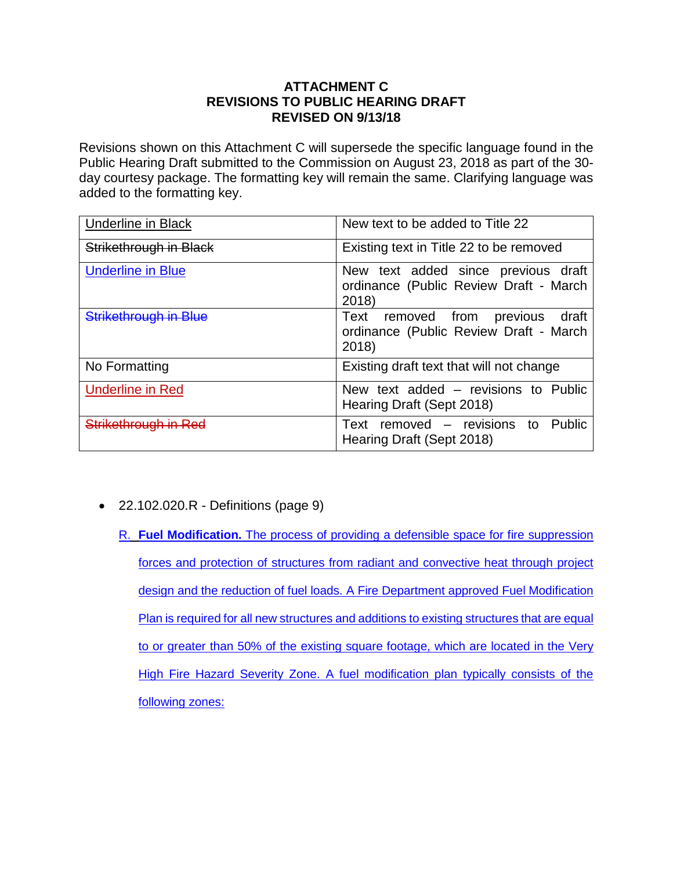## **ATTACHMENT C REVISIONS TO PUBLIC HEARING DRAFT REVISED ON 9/13/18**

Revisions shown on this Attachment C will supersede the specific language found in the Public Hearing Draft submitted to the Commission on August 23, 2018 as part of the 30 day courtesy package. The formatting key will remain the same. Clarifying language was added to the formatting key.

| <b>Underline in Black</b> | New text to be added to Title 22                                                             |
|---------------------------|----------------------------------------------------------------------------------------------|
| Strikethrough in Black    | Existing text in Title 22 to be removed                                                      |
| <b>Underline in Blue</b>  | New text added since previous draft<br>ordinance (Public Review Draft - March<br>2018)       |
| Strikethrough in Blue     | draft<br>removed from<br>previous<br>Text<br>ordinance (Public Review Draft - March<br>2018) |
| No Formatting             | Existing draft text that will not change                                                     |
| <b>Underline in Red</b>   | New text added – revisions to Public<br>Hearing Draft (Sept 2018)                            |
| Strikethrough in Red      | removed - revisions<br>Public<br>to<br>Text<br>Hearing Draft (Sept 2018)                     |

- 22.102.020.R Definitions (page 9)
	- R. **Fuel Modification.** The process of providing a defensible space for fire suppression forces and protection of structures from radiant and convective heat through project design and the reduction of fuel loads. A Fire Department approved Fuel Modification Plan is required for all new structures and additions to existing structures that are equal to or greater than 50% of the existing square footage, which are located in the Very High Fire Hazard Severity Zone. A fuel modification plan typically consists of the following zones: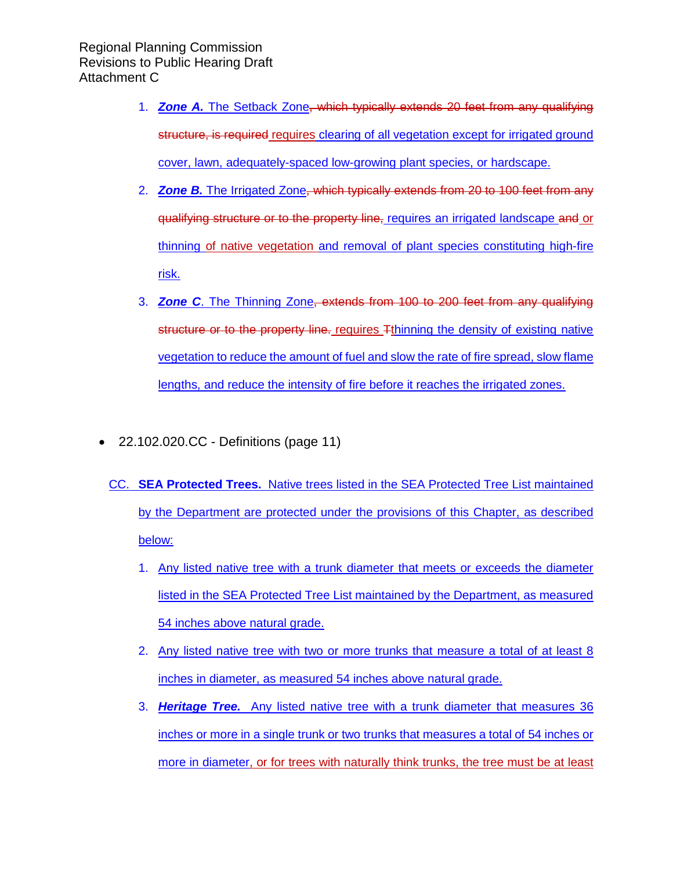- 1. *Zone A.* The Setback Zone, which typically extends 20 feet from any qualifying structure, is required requires clearing of all vegetation except for irrigated ground cover, lawn, adequately-spaced low-growing plant species, or hardscape.
- 2. *Zone B.* The Irrigated Zone, which typically extends from 20 to 100 feet from any qualifying structure or to the property line, requires an irrigated landscape and or thinning of native vegetation and removal of plant species constituting high-fire risk.
- 3. *Zone C*. The Thinning Zone, extends from 100 to 200 feet from any qualifying structure or to the property line. requires Tthinning the density of existing native vegetation to reduce the amount of fuel and slow the rate of fire spread, slow flame lengths, and reduce the intensity of fire before it reaches the irrigated zones.
- 22.102.020.CC Definitions (page 11)
	- CC. **SEA Protected Trees.** Native trees listed in the SEA Protected Tree List maintained by the Department are protected under the provisions of this Chapter, as described below:
		- 1. Any listed native tree with a trunk diameter that meets or exceeds the diameter listed in the SEA Protected Tree List maintained by the Department, as measured 54 inches above natural grade.
		- 2. Any listed native tree with two or more trunks that measure a total of at least 8 inches in diameter, as measured 54 inches above natural grade.
		- 3. *Heritage Tree.* Any listed native tree with a trunk diameter that measures 36 inches or more in a single trunk or two trunks that measures a total of 54 inches or more in diameter, or for trees with naturally think trunks, the tree must be at least